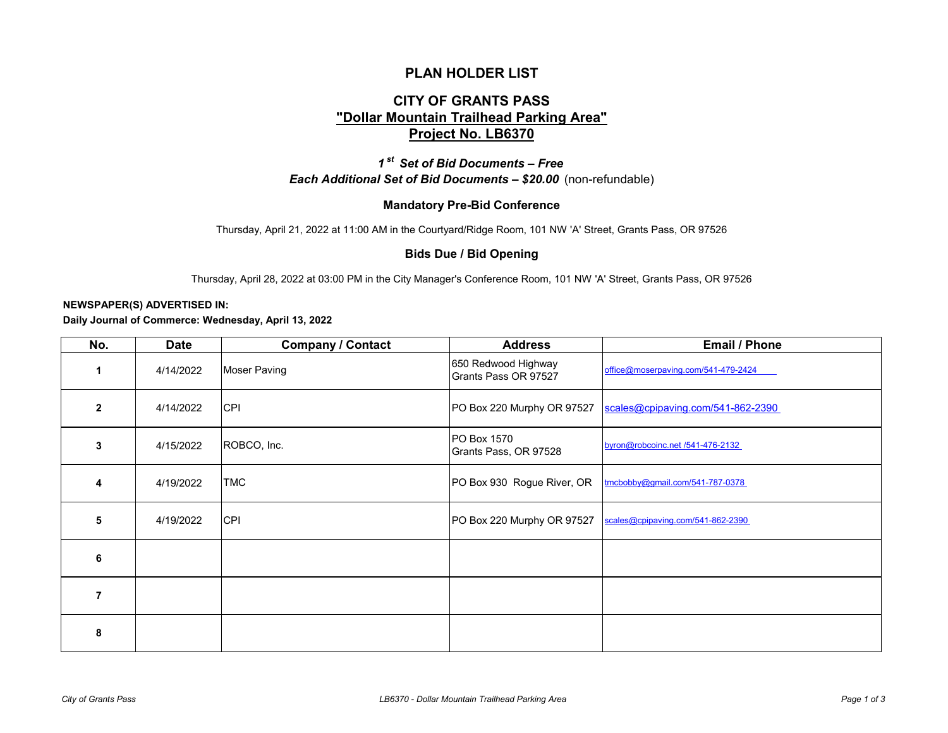## **PLAN HOLDER LIST**

# **CITY OF GRANTS PASS "Dollar Mountain Trailhead Parking Area" Project No. LB6370**

*1 st Set of Bid Documents – Free Each Additional Set of Bid Documents – \$20.00* (non-refundable)

### **Mandatory Pre-Bid Conference**

Thursday, April 21, 2022 at 11:00 AM in the Courtyard/Ridge Room, 101 NW 'A' Street, Grants Pass, OR 97526

#### **Bids Due / Bid Opening**

Thursday, April 28, 2022 at 03:00 PM in the City Manager's Conference Room, 101 NW 'A' Street, Grants Pass, OR 97526

#### **NEWSPAPER(S) ADVERTISED IN:**

**Daily Journal of Commerce: Wednesday, April 13, 2022**

| No.            | <b>Date</b> | <b>Company / Contact</b> | <b>Address</b>                              | <b>Email / Phone</b>                |
|----------------|-------------|--------------------------|---------------------------------------------|-------------------------------------|
|                | 4/14/2022   | <b>Moser Paving</b>      | 650 Redwood Highway<br>Grants Pass OR 97527 | office@moserpaving.com/541-479-2424 |
| $\overline{2}$ | 4/14/2022   | <b>CPI</b>               | PO Box 220 Murphy OR 97527                  | scales@cpipaving.com/541-862-2390   |
| 3              | 4/15/2022   | ROBCO, Inc.              | <b>PO Box 1570</b><br>Grants Pass, OR 97528 | byron@robcoinc.net /541-476-2132    |
| 4              | 4/19/2022   | <b>TMC</b>               | PO Box 930 Rogue River, OR                  | tmcbobby@gmail.com/541-787-0378     |
| 5              | 4/19/2022   | <b>CPI</b>               | PO Box 220 Murphy OR 97527                  | scales@cpipaving.com/541-862-2390   |
| 6              |             |                          |                                             |                                     |
| $\overline{7}$ |             |                          |                                             |                                     |
| 8              |             |                          |                                             |                                     |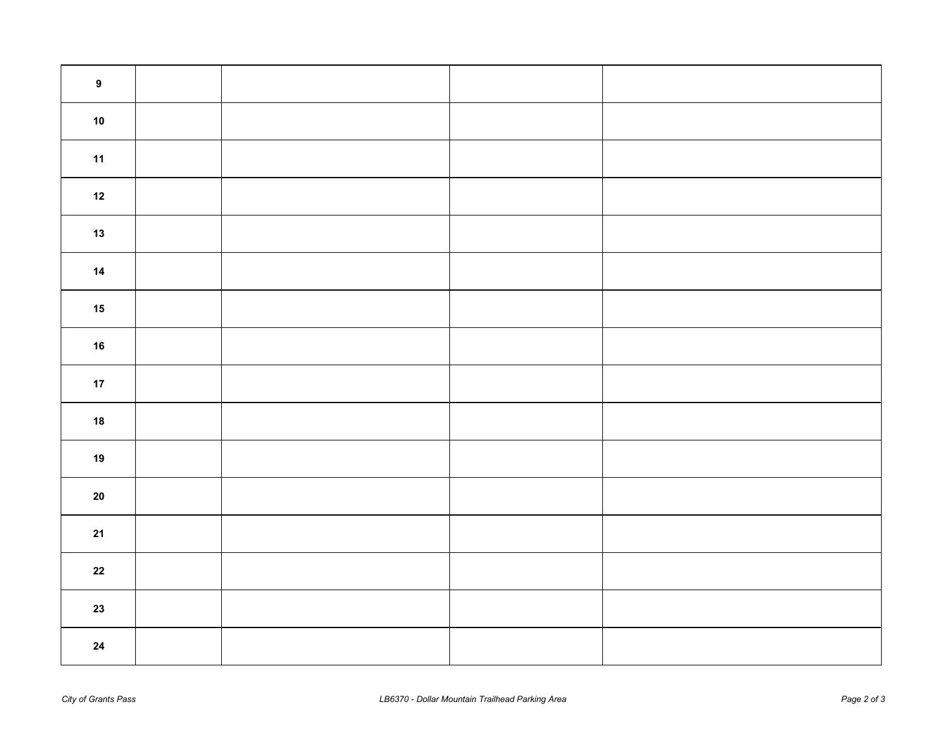| $\boldsymbol{9}$ |  |  |
|------------------|--|--|
| $10\,$           |  |  |
| 11               |  |  |
| $12$             |  |  |
| $13$             |  |  |
| $14$             |  |  |
| $15$             |  |  |
| $16$             |  |  |
| $17\,$           |  |  |
| ${\bf 18}$       |  |  |
| $19$             |  |  |
| ${\bf 20}$       |  |  |
| 21               |  |  |
| ${\bf 22}$       |  |  |
| $23$             |  |  |
| ${\bf 24}$       |  |  |